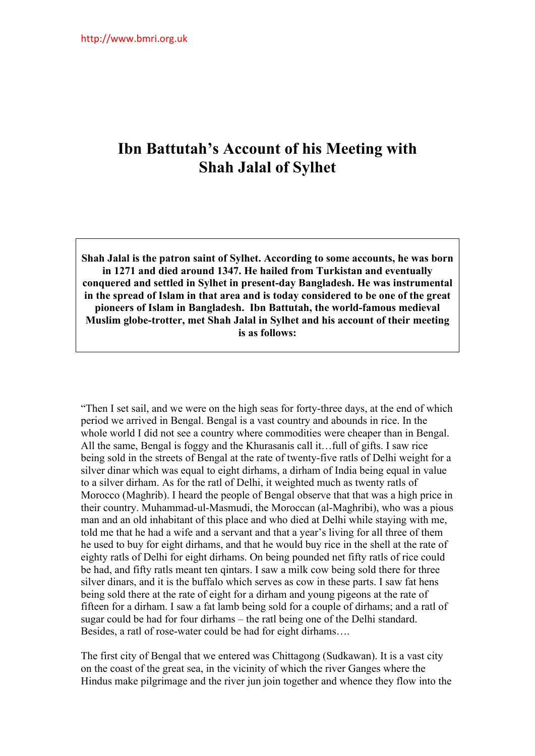## **Ibn Battutah's Account of his Meeting with Shah Jalal of Sylhet**

**Shah Jalal is the patron saint of Sylhet. According to some accounts, he was born in 1271 and died around 1347. He hailed from Turkistan and eventually conquered and settled in Sylhet in present-day Bangladesh. He was instrumental in the spread of Islam in that area and is today considered to be one of the great pioneers of Islam in Bangladesh. Ibn Battutah, the world-famous medieval Muslim globe-trotter, met Shah Jalal in Sylhet and his account of their meeting is as follows:** 

"Then I set sail, and we were on the high seas for forty-three days, at the end of which period we arrived in Bengal. Bengal is a vast country and abounds in rice. In the whole world I did not see a country where commodities were cheaper than in Bengal. All the same, Bengal is foggy and the Khurasanis call it…full of gifts. I saw rice being sold in the streets of Bengal at the rate of twenty-five ratls of Delhi weight for a silver dinar which was equal to eight dirhams, a dirham of India being equal in value to a silver dirham. As for the ratl of Delhi, it weighted much as twenty ratls of Morocco (Maghrib). I heard the people of Bengal observe that that was a high price in their country. Muhammad-ul-Masmudi, the Moroccan (al-Maghribi), who was a pious man and an old inhabitant of this place and who died at Delhi while staying with me, told me that he had a wife and a servant and that a year's living for all three of them he used to buy for eight dirhams, and that he would buy rice in the shell at the rate of eighty ratls of Delhi for eight dirhams. On being pounded net fifty ratls of rice could be had, and fifty ratls meant ten qintars. I saw a milk cow being sold there for three silver dinars, and it is the buffalo which serves as cow in these parts. I saw fat hens being sold there at the rate of eight for a dirham and young pigeons at the rate of fifteen for a dirham. I saw a fat lamb being sold for a couple of dirhams; and a ratl of sugar could be had for four dirhams – the ratl being one of the Delhi standard. Besides, a ratl of rose-water could be had for eight dirhams….

The first city of Bengal that we entered was Chittagong (Sudkawan). It is a vast city on the coast of the great sea, in the vicinity of which the river Ganges where the Hindus make pilgrimage and the river jun join together and whence they flow into the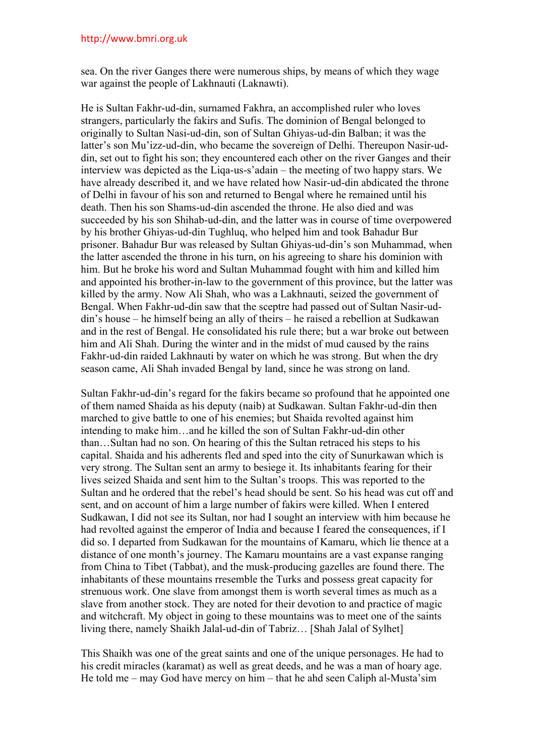## http://www.bmri.org.uk

sea. On the river Ganges there were numerous ships, by means of which they wage war against the people of Lakhnauti (Laknawti).

He is Sultan Fakhr-ud-din, surnamed Fakhra, an accomplished ruler who loves strangers, particularly the fakirs and Sufis. The dominion of Bengal belonged to originally to Sultan Nasi-ud-din, son of Sultan Ghiyas-ud-din Balban; it was the latter's son Mu'izz-ud-din, who became the sovereign of Delhi. Thereupon Nasir-uddin, set out to fight his son; they encountered each other on the river Ganges and their interview was depicted as the Liqa-us-s'adain – the meeting of two happy stars. We have already described it, and we have related how Nasir-ud-din abdicated the throne of Delhi in favour of his son and returned to Bengal where he remained until his death. Then his son Shams-ud-din ascended the throne. He also died and was succeeded by his son Shihab-ud-din, and the latter was in course of time overpowered by his brother Ghiyas-ud-din Tughluq, who helped him and took Bahadur Bur prisoner. Bahadur Bur was released by Sultan Ghiyas-ud-din's son Muhammad, when the latter ascended the throne in his turn, on his agreeing to share his dominion with him. But he broke his word and Sultan Muhammad fought with him and killed him and appointed his brother-in-law to the government of this province, but the latter was killed by the army. Now Ali Shah, who was a Lakhnauti, seized the government of Bengal. When Fakhr-ud-din saw that the sceptre had passed out of Sultan Nasir-uddin's house – he himself being an ally of theirs – he raised a rebellion at Sudkawan and in the rest of Bengal. He consolidated his rule there; but a war broke out between him and Ali Shah. During the winter and in the midst of mud caused by the rains Fakhr-ud-din raided Lakhnauti by water on which he was strong. But when the dry season came, Ali Shah invaded Bengal by land, since he was strong on land.

Sultan Fakhr-ud-din's regard for the fakirs became so profound that he appointed one of them named Shaida as his deputy (naib) at Sudkawan. Sultan Fakhr-ud-din then marched to give battle to one of his enemies; but Shaida revolted against him intending to make him…and he killed the son of Sultan Fakhr-ud-din other than…Sultan had no son. On hearing of this the Sultan retraced his steps to his capital. Shaida and his adherents fled and sped into the city of Sunurkawan which is very strong. The Sultan sent an army to besiege it. Its inhabitants fearing for their lives seized Shaida and sent him to the Sultan's troops. This was reported to the Sultan and he ordered that the rebel's head should be sent. So his head was cut off and sent, and on account of him a large number of fakirs were killed. When I entered Sudkawan, I did not see its Sultan, nor had I sought an interview with him because he had revolted against the emperor of India and because I feared the consequences, if I did so. I departed from Sudkawan for the mountains of Kamaru, which lie thence at a distance of one month's journey. The Kamaru mountains are a vast expanse ranging from China to Tibet (Tabbat), and the musk-producing gazelles are found there. The inhabitants of these mountains rresemble the Turks and possess great capacity for strenuous work. One slave from amongst them is worth several times as much as a slave from another stock. They are noted for their devotion to and practice of magic and witchcraft. My object in going to these mountains was to meet one of the saints living there, namely Shaikh Jalal-ud-din of Tabriz… [Shah Jalal of Sylhet]

This Shaikh was one of the great saints and one of the unique personages. He had to his credit miracles (karamat) as well as great deeds, and he was a man of hoary age. He told me – may God have mercy on him – that he ahd seen Caliph al-Musta'sim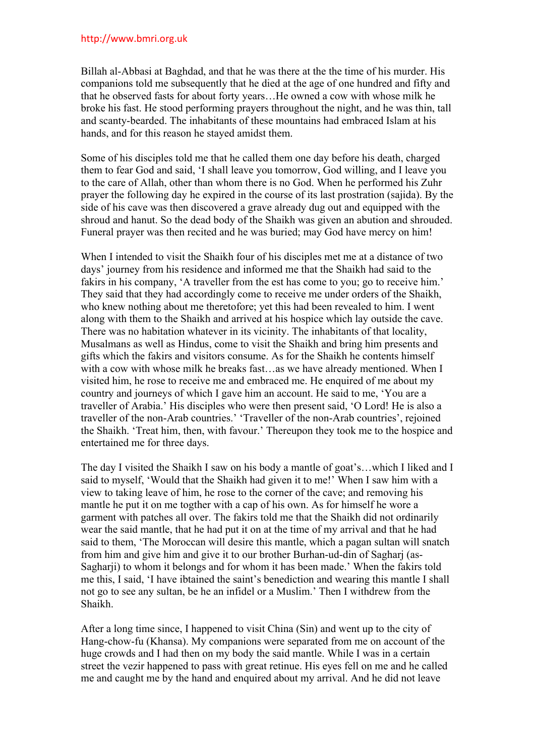## http://www.bmri.org.uk

Billah al-Abbasi at Baghdad, and that he was there at the the time of his murder. His companions told me subsequently that he died at the age of one hundred and fifty and that he observed fasts for about forty years…He owned a cow with whose milk he broke his fast. He stood performing prayers throughout the night, and he was thin, tall and scanty-bearded. The inhabitants of these mountains had embraced Islam at his hands, and for this reason he stayed amidst them.

Some of his disciples told me that he called them one day before his death, charged them to fear God and said, 'I shall leave you tomorrow, God willing, and I leave you to the care of Allah, other than whom there is no God. When he performed his Zuhr prayer the following day he expired in the course of its last prostration (sajida). By the side of his cave was then discovered a grave already dug out and equipped with the shroud and hanut. So the dead body of the Shaikh was given an abution and shrouded. Funeral prayer was then recited and he was buried; may God have mercy on him!

When I intended to visit the Shaikh four of his disciples met me at a distance of two days' journey from his residence and informed me that the Shaikh had said to the fakirs in his company, 'A traveller from the est has come to you; go to receive him.' They said that they had accordingly come to receive me under orders of the Shaikh, who knew nothing about me theretofore; yet this had been revealed to him. I went along with them to the Shaikh and arrived at his hospice which lay outside the cave. There was no habitation whatever in its vicinity. The inhabitants of that locality, Musalmans as well as Hindus, come to visit the Shaikh and bring him presents and gifts which the fakirs and visitors consume. As for the Shaikh he contents himself with a cow with whose milk he breaks fast…as we have already mentioned. When I visited him, he rose to receive me and embraced me. He enquired of me about my country and journeys of which I gave him an account. He said to me, 'You are a traveller of Arabia.' His disciples who were then present said, 'O Lord! He is also a traveller of the non-Arab countries.' 'Traveller of the non-Arab countries', rejoined the Shaikh. 'Treat him, then, with favour.' Thereupon they took me to the hospice and entertained me for three days.

The day I visited the Shaikh I saw on his body a mantle of goat's…which I liked and I said to myself, 'Would that the Shaikh had given it to me!' When I saw him with a view to taking leave of him, he rose to the corner of the cave; and removing his mantle he put it on me togther with a cap of his own. As for himself he wore a garment with patches all over. The fakirs told me that the Shaikh did not ordinarily wear the said mantle, that he had put it on at the time of my arrival and that he had said to them, 'The Moroccan will desire this mantle, which a pagan sultan will snatch from him and give him and give it to our brother Burhan-ud-din of Sagharj (as-Sagharii) to whom it belongs and for whom it has been made.' When the fakirs told me this, I said, 'I have ibtained the saint's benediction and wearing this mantle I shall not go to see any sultan, be he an infidel or a Muslim.' Then I withdrew from the Shaikh.

After a long time since, I happened to visit China (Sin) and went up to the city of Hang-chow-fu (Khansa). My companions were separated from me on account of the huge crowds and I had then on my body the said mantle. While I was in a certain street the vezir happened to pass with great retinue. His eyes fell on me and he called me and caught me by the hand and enquired about my arrival. And he did not leave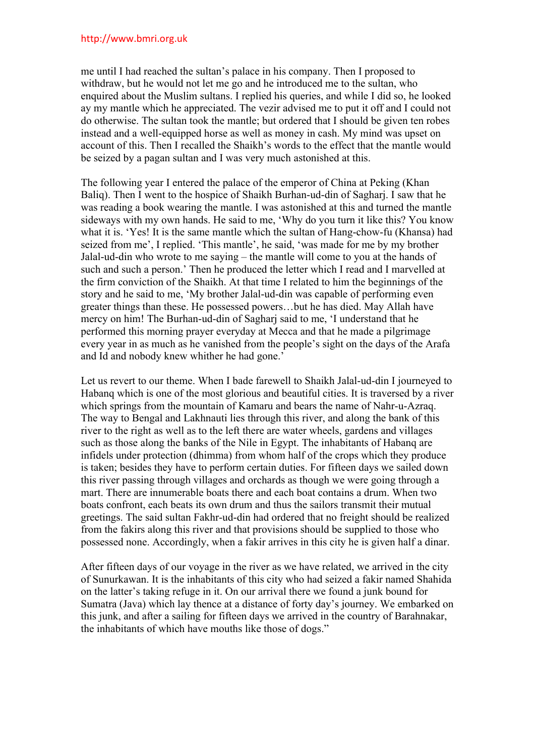## http://www.bmri.org.uk

me until I had reached the sultan's palace in his company. Then I proposed to withdraw, but he would not let me go and he introduced me to the sultan, who enquired about the Muslim sultans. I replied his queries, and while I did so, he looked ay my mantle which he appreciated. The vezir advised me to put it off and I could not do otherwise. The sultan took the mantle; but ordered that I should be given ten robes instead and a well-equipped horse as well as money in cash. My mind was upset on account of this. Then I recalled the Shaikh's words to the effect that the mantle would be seized by a pagan sultan and I was very much astonished at this.

The following year I entered the palace of the emperor of China at Peking (Khan Baliq). Then I went to the hospice of Shaikh Burhan-ud-din of Sagharj. I saw that he was reading a book wearing the mantle. I was astonished at this and turned the mantle sideways with my own hands. He said to me, 'Why do you turn it like this? You know what it is. 'Yes! It is the same mantle which the sultan of Hang-chow-fu (Khansa) had seized from me', I replied. 'This mantle', he said, 'was made for me by my brother Jalal-ud-din who wrote to me saying – the mantle will come to you at the hands of such and such a person.' Then he produced the letter which I read and I marvelled at the firm conviction of the Shaikh. At that time I related to him the beginnings of the story and he said to me, 'My brother Jalal-ud-din was capable of performing even greater things than these. He possessed powers…but he has died. May Allah have mercy on him! The Burhan-ud-din of Sagharj said to me, 'I understand that he performed this morning prayer everyday at Mecca and that he made a pilgrimage every year in as much as he vanished from the people's sight on the days of the Arafa and Id and nobody knew whither he had gone.'

Let us revert to our theme. When I bade farewell to Shaikh Jalal-ud-din I journeyed to Habanq which is one of the most glorious and beautiful cities. It is traversed by a river which springs from the mountain of Kamaru and bears the name of Nahr-u-Azraq. The way to Bengal and Lakhnauti lies through this river, and along the bank of this river to the right as well as to the left there are water wheels, gardens and villages such as those along the banks of the Nile in Egypt. The inhabitants of Habanq are infidels under protection (dhimma) from whom half of the crops which they produce is taken; besides they have to perform certain duties. For fifteen days we sailed down this river passing through villages and orchards as though we were going through a mart. There are innumerable boats there and each boat contains a drum. When two boats confront, each beats its own drum and thus the sailors transmit their mutual greetings. The said sultan Fakhr-ud-din had ordered that no freight should be realized from the fakirs along this river and that provisions should be supplied to those who possessed none. Accordingly, when a fakir arrives in this city he is given half a dinar.

After fifteen days of our voyage in the river as we have related, we arrived in the city of Sunurkawan. It is the inhabitants of this city who had seized a fakir named Shahida on the latter's taking refuge in it. On our arrival there we found a junk bound for Sumatra (Java) which lay thence at a distance of forty day's journey. We embarked on this junk, and after a sailing for fifteen days we arrived in the country of Barahnakar, the inhabitants of which have mouths like those of dogs."